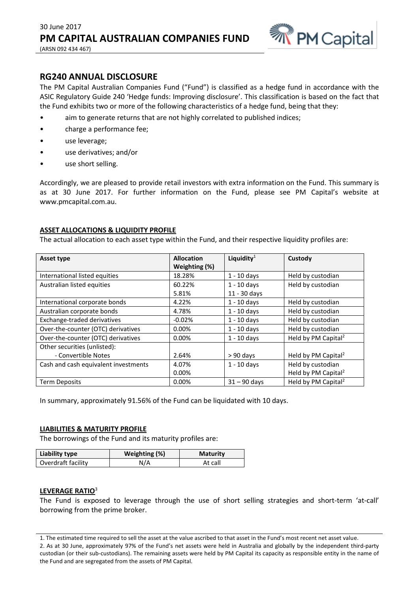

# **RG240 ANNUAL DISCLOSURE**

The PM Capital Australian Companies Fund ("Fund") is classified as a hedge fund in accordance with the ASIC Regulatory Guide 240 'Hedge funds: Improving disclosure'. This classification is based on the fact that the Fund exhibits two or more of the following characteristics of a hedge fund, being that they:

- aim to generate returns that are not highly correlated to published indices;
- charge a performance fee;
- use leverage;
- use derivatives; and/or
- use short selling.

Accordingly, we are pleased to provide retail investors with extra information on the Fund. This summary is as at 30 June 2017. For further information on the Fund, please see PM Capital's website at www.pmcapital.com.au.

## **ASSET ALLOCATIONS & LIQUIDITY PROFILE**

The actual allocation to each asset type within the Fund, and their respective liquidity profiles are:

| Asset type                           | <b>Allocation</b> | Liquidity $1$  | Custody                         |
|--------------------------------------|-------------------|----------------|---------------------------------|
|                                      | Weighting (%)     |                |                                 |
| International listed equities        | 18.28%            | $1 - 10$ days  | Held by custodian               |
| Australian listed equities           | 60.22%            | $1 - 10$ days  | Held by custodian               |
|                                      | 5.81%             | 11 - 30 days   |                                 |
| International corporate bonds        | 4.22%             | $1 - 10$ days  | Held by custodian               |
| Australian corporate bonds           | 4.78%             | $1 - 10$ days  | Held by custodian               |
| Exchange-traded derivatives          | $-0.02%$          | $1 - 10$ days  | Held by custodian               |
| Over-the-counter (OTC) derivatives   | 0.00%             | $1 - 10$ days  | Held by custodian               |
| Over-the-counter (OTC) derivatives   | 0.00%             | $1 - 10$ days  | Held by PM Capital <sup>2</sup> |
| Other securities (unlisted):         |                   |                |                                 |
| - Convertible Notes                  | 2.64%             | $> 90$ days    | Held by PM Capital <sup>2</sup> |
| Cash and cash equivalent investments | 4.07%             | $1 - 10$ days  | Held by custodian               |
|                                      | 0.00%             |                | Held by PM Capital <sup>2</sup> |
| <b>Term Deposits</b>                 | 0.00%             | $31 - 90$ days | Held by PM Capital <sup>2</sup> |

In summary, approximately 91.56% of the Fund can be liquidated with 10 days.

#### **LIABILITIES & MATURITY PROFILE**

The borrowings of the Fund and its maturity profiles are:

| Liability type     | Weighting (%) | <b>Maturity</b> |
|--------------------|---------------|-----------------|
| Overdraft facility | N/A           | At call         |

#### **LEVERAGE RATIO**<sup>3</sup>

The Fund is exposed to leverage through the use of short selling strategies and short-term 'at-call' borrowing from the prime broker.

<sup>1.</sup> The estimated time required to sell the asset at the value ascribed to that asset in the Fund's most recent net asset value. 2. As at 30 June, approximately 97% of the Fund's net assets were held in Australia and globally by the independent third-party custodian (or their sub-custodians). The remaining assets were held by PM Capital its capacity as responsible entity in the name of the Fund and are segregated from the assets of PM Capital.